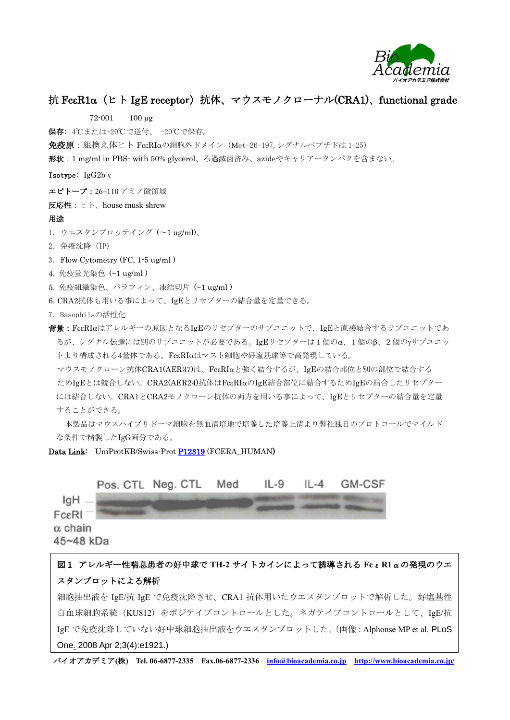

## 抗 FcεR1α (ヒト IgE receptor)抗体、マウスモノクローナル(CRA1)、functional grade

72-001 100 µg

保存: 4℃または-20℃で送付、 -20℃で保存。

免疫原: 組換え体ヒト FcεRIαの細胞外ドメイン (Met-26-197, シグナルペプチドは 1-25)

形状:1 mg/ml in PBS- with 50% glycerol、ろ過滅菌済み、azideやキャリアータンパクを含まない。

Isotype: IgG2bκ

エピトープ: 26-110アミノ酸領域

反応性:ヒト、house musk shrew

## 用途

 $\overline{\phantom{a}}$ 

1. ウエスタンブロッテイング (〜1 ug/ml)、

- 2. 免疫沈降 (IP)
- 3. Flow Cytometry (FC, 1-5 ug/ml )
- 4. 免疫蛍光染色 (~1 ug/ml )
- 5. 免疫組織染色、パラフィン、凍結切片 (~1 ug/ml )
- 6. CRA2抗体も用いる事によって、IgEとリセプターの結合量を定量できる。
- 7. Basophilsの活性化

背景:FcRIはアレルギーの原因となるIgEのリセプターのサブユニットで、IgEと直接結合するサブユニットであ るが、シグナル伝達には別のサブユニットが必要である。IgEリセプターは1個のα、1個のβ、2個のγサブユニッ トより構成される4量体である。FcεRIαはマスト細胞や好塩基球等で高発現している。

マウスモノクローン抗体CRA1(AER37)は、FcERIaと強く結合するが、IgEの結合部位と別の部位で結合する ためIgEとは競合しない。CRA2(AER24)抗体はFccRIaのIgE結合部位に結合するためIgEの結合したリセプター には結合しない。CRA1とCRA2モノクローン抗体の両方を用いる事によって、IgEとリセプターの結合量を定量 することができる。

本製品はマウスハイブリドーマ細胞を無血清培地で培養した培養上清より弊社独自のプロトコールでマイルド な条件で精製したIgG画分である。

Data Link: UniProtKB/Swiss-Prot **P12319** (FCERA\_HUMAN)



## 図1 アレルギー性喘息患者の好中球で **TH-2** サイトカインによって誘導される **Fc**ε**R1**αの発現のウエ スタンブロットによる解析

細胞抽出液を IgE/抗 IgE で免疫沈降させ、CRA1 抗体用いたウエスタンブロットで解析した。好塩基性 白血球細胞系統(KU812)をポジテイブコントロールとした。ネガテイブコントロールとして、IgE/抗 IgE で免疫沈降していない好中球細胞抽出液をウエスタンブロットした。(画像:Alphonse MP et al. PLoS One. 2008 Apr 2;3(4):e1921.)

バイオアカデミア**(**株**) Tel. 06-6877-2335 Fax.06-6877-2336 [info@bioacademia.co.jp](mailto:info@bioacademia.co.jp) <http://www.bioacademia.co.jp/>**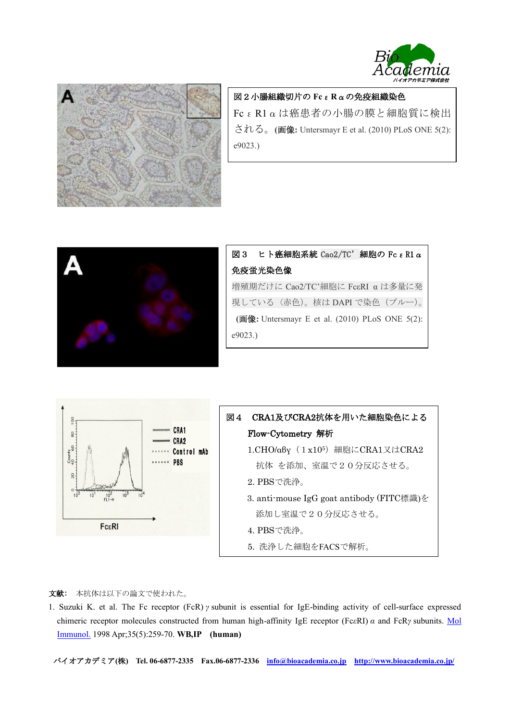



図2小腸組織切片の **Fc**ε**R**αの免疫組織染色 FcεR1αは癌患者の小腸の膜と細胞質に検出 される。**(**画像**:** Untersmayr E et al. (2010) PLoS ONE 5(2): e9023.)



|         | 図3 ヒト癌細胞系統 Cao2/TC' 細胞の Fc ε R1 α                   |
|---------|-----------------------------------------------------|
|         | 免疫蛍光染色像                                             |
|         | 増殖期だけに Cao2/TC'細胞に FcεRI αは多量に発                     |
|         | 現している〈赤色)。核はDAPIで染色(ブルー)。                           |
|         | (画像: Untersmayr E et al. $(2010)$ PLoS ONE $5(2)$ : |
| e9023.) |                                                     |
|         |                                                     |



図4 CRA1及びCRA2抗体を用いた細胞染色による Flow-Cytometry 解析 1.CHO/αβγ (1x105) 細胞にCRA1又はCRA2 抗体 を添加、室温で20分反応させる。 2. PBSで洗浄。 3. anti-mouse IgG goat antibody (FITC標識)を 添加し室温で20分反応させる。 4. PBSで洗浄。 5. 洗浄した細胞をFACSで解析。

文献: 本抗体は以下の論文で使われた。

1. Suzuki K. et al. The Fc receptor (FcR) *γ* subunit is essential for IgE-binding activity of cell-surface expressed chimeric receptor molecules constructed from human high-affinity IgE receptor (Fc*ε*RI) *α* and FcR*γ* subunits. [Mol](http://www.ncbi.nlm.nih.gov/pubmed/?term=The+Fc+receptor+(FcR)+%CE%B3+subunit+is+essential+for+IgE-binding+activity)  [Immunol.](http://www.ncbi.nlm.nih.gov/pubmed/?term=The+Fc+receptor+(FcR)+%CE%B3+subunit+is+essential+for+IgE-binding+activity) 1998 Apr;35(5):259-70. **WB,IP (human)**

バイオアカデミア**(**株**) Tel. 06-6877-2335 Fax.06-6877-2336 [info@bioacademia.co.jp](mailto:info@bioacademia.co.jp) <http://www.bioacademia.co.jp/>**